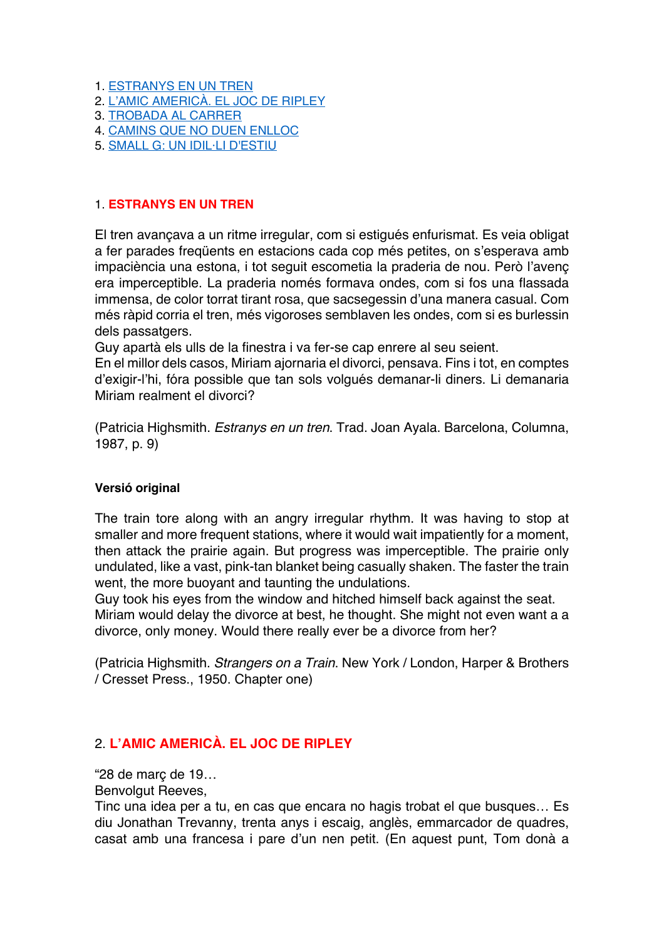- 1. ESTRANYS EN UN TREN
- 2. L'AMIC AMERICÀ. EL JOC DE RIPLEY
- 3. TROBADA AL CARRER
- 4. CAMINS QUE NO DUEN ENLLOC
- 5. SMALL G: UN IDIL·LI D'ESTIU

### 1. **ESTRANYS EN UN TREN**

El tren avançava a un ritme irregular, com si estigués enfurismat. Es veia obligat a fer parades freqüents en estacions cada cop més petites, on s'esperava amb impaciència una estona, i tot seguit escometia la praderia de nou. Però l'avenç era imperceptible. La praderia només formava ondes, com si fos una flassada immensa, de color torrat tirant rosa, que sacsegessin d'una manera casual. Com més ràpid corria el tren, més vigoroses semblaven les ondes, com si es burlessin dels passatgers.

Guy apartà els ulls de la finestra i va fer-se cap enrere al seu seient.

En el millor dels casos, Miriam ajornaria el divorci, pensava. Fins i tot, en comptes d'exigir-l'hi, fóra possible que tan sols volgués demanar-li diners. Li demanaria Miriam realment el divorci?

(Patricia Highsmith. *Estranys en un tren*. Trad. Joan Ayala. Barcelona, Columna, 1987, p. 9)

### **Versió original**

The train tore along with an angry irregular rhythm. It was having to stop at smaller and more frequent stations, where it would wait impatiently for a moment, then attack the prairie again. But progress was imperceptible. The prairie only undulated, like a vast, pink-tan blanket being casually shaken. The faster the train went, the more buoyant and taunting the undulations.

Guy took his eyes from the window and hitched himself back against the seat. Miriam would delay the divorce at best, he thought. She might not even want a a divorce, only money. Would there really ever be a divorce from her?

(Patricia Highsmith. *Strangers on a Train*. New York / London, Harper & Brothers / Cresset Press., 1950. Chapter one)

# 2. **L'AMIC AMERICÀ. EL JOC DE RIPLEY**

"28 de març de 19…

Benvolgut Reeves,

Tinc una idea per a tu, en cas que encara no hagis trobat el que busques… Es diu Jonathan Trevanny, trenta anys i escaig, anglès, emmarcador de quadres, casat amb una francesa i pare d'un nen petit. (En aquest punt, Tom donà a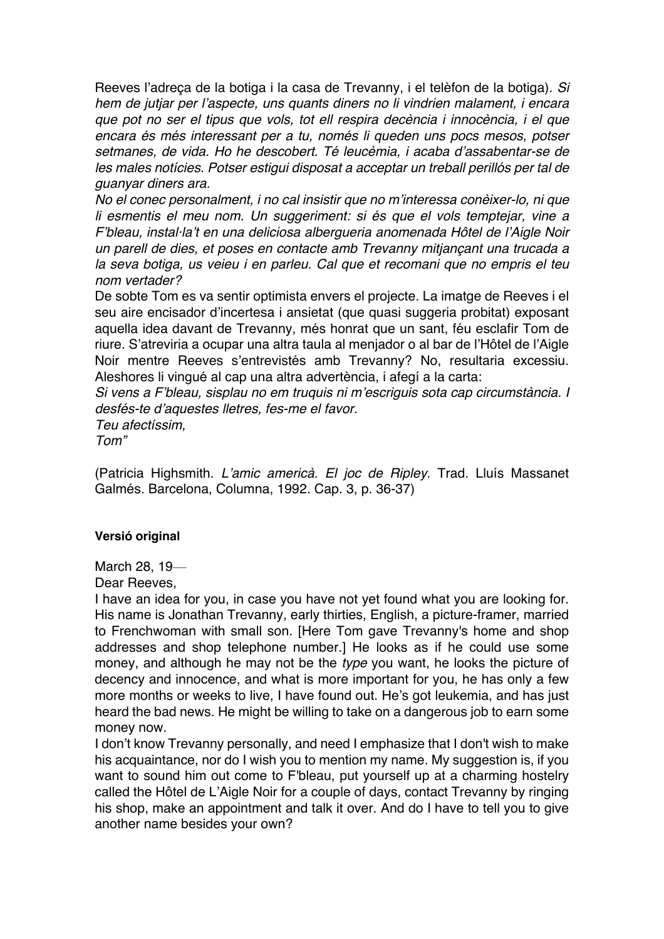Reeves l'adreça de la botiga i la casa de Trevanny, i el telèfon de la botiga). *Si hem de jutjar per l'aspecte, uns quants diners no li vindrien malament, i encara que pot no ser el tipus que vols, tot ell respira decència i innocència, i el que encara és més interessant per a tu, només li queden uns pocs mesos, potser setmanes, de vida. Ho he descobert. Té leucèmia, i acaba d'assabentar-se de les males notícies. Potser estigui disposat a acceptar un treball perillós per tal de guanyar diners ara.*

*No el conec personalment, i no cal insistir que no m'interessa conèixer-lo, ni que*  li esmentis el meu nom. Un suggeriment: si és que el vols temptejar, vine a *F'bleau, instal·la't en una deliciosa albergueria anomenada Hôtel de l'Aigle Noir un parell de dies, et poses en contacte amb Trevanny mitjançant una trucada a la seva botiga, us veieu i en parleu. Cal que et recomani que no empris el teu nom vertader?*

De sobte Tom es va sentir optimista envers el projecte. La imatge de Reeves i el seu aire encisador d'incertesa i ansietat (que quasi suggeria probitat) exposant aquella idea davant de Trevanny, més honrat que un sant, féu esclafir Tom de riure. S'atreviria a ocupar una altra taula al menjador o al bar de l'Hôtel de l'Aigle Noir mentre Reeves s'entrevistés amb Trevanny? No, resultaria excessiu. Aleshores li vingué al cap una altra advertència, i afegí a la carta:

*Si vens a F'bleau, sisplau no em truquis ni m'escriguis sota cap circumstància. I desfés-te d'aquestes lletres, fes-me el favor. Teu afectíssim,*

*Tom"*

(Patricia Highsmith. *L'amic americà. El joc de Ripley.* Trad. Lluís Massanet Galmés. Barcelona, Columna, 1992. Cap. 3, p. 36-37)

# **Versió original**

March 28, 19—

Dear Reeves,

I have an idea for you, in case you have not yet found what you are looking for. His name is Jonathan Trevanny, early thirties, English, a picture-framer, married to Frenchwoman with small son. [Here Tom gave Trevanny's home and shop addresses and shop telephone number.] He looks as if he could use some money, and although he may not be the *type* you want, he looks the picture of decency and innocence, and what is more important for you, he has only a few more months or weeks to live, I have found out. He's got leukemia, and has just heard the bad news. He might be willing to take on a dangerous job to earn some money now.

I don't know Trevanny personally, and need I emphasize that I don't wish to make his acquaintance, nor do I wish you to mention my name. My suggestion is, if you want to sound him out come to F'bleau, put yourself up at a charming hostelry called the Hôtel de L'Aigle Noir for a couple of days, contact Trevanny by ringing his shop, make an appointment and talk it over. And do I have to tell you to give another name besides your own?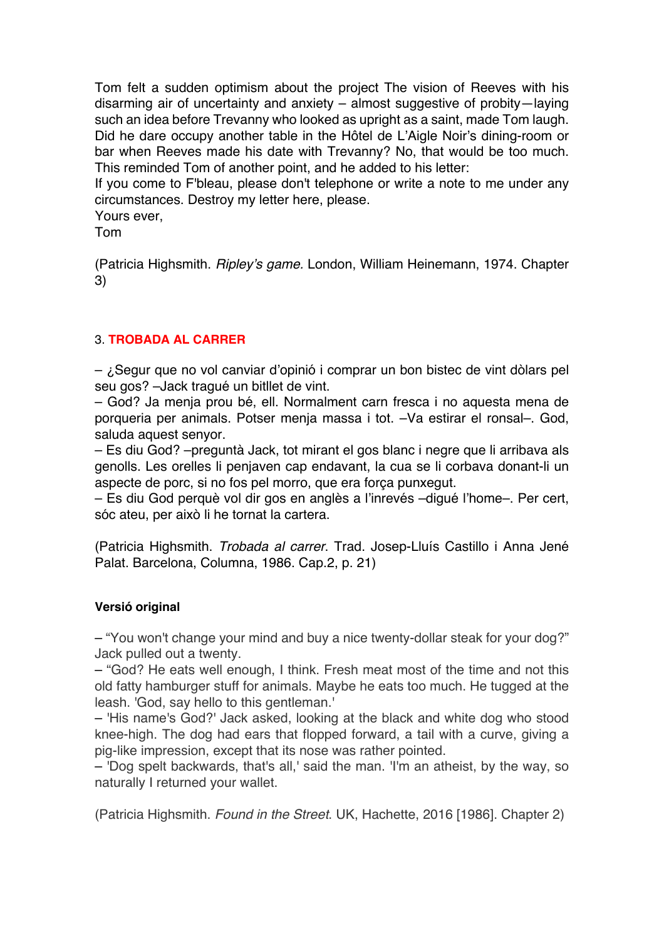Tom felt a sudden optimism about the project The vision of Reeves with his disarming air of uncertainty and anxiety – almost suggestive of probity—laying such an idea before Trevanny who looked as upright as a saint, made Tom laugh. Did he dare occupy another table in the Hôtel de L'Aigle Noir's dining-room or bar when Reeves made his date with Trevanny? No, that would be too much. This reminded Tom of another point, and he added to his letter:

If you come to F'bleau, please don't telephone or write a note to me under any circumstances. Destroy my letter here, please.

Yours ever,

Tom

(Patricia Highsmith. *Ripley's game.* London, William Heinemann, 1974. Chapter 3)

# 3. **TROBADA AL CARRER**

 $-$  ¿Segur que no vol canviar d'opinió i comprar un bon bistec de vint dòlars pel seu gos? –Jack tragué un bitllet de vint.

– God? Ja menja prou bé, ell. Normalment carn fresca i no aquesta mena de porqueria per animals. Potser menja massa i tot. –Va estirar el ronsal–. God, saluda aquest senyor.

– Es diu God? –preguntà Jack, tot mirant el gos blanc i negre que li arribava als genolls. Les orelles li penjaven cap endavant, la cua se li corbava donant-li un aspecte de porc, si no fos pel morro, que era força punxegut.

– Es diu God perquè vol dir gos en anglès a l'inrevés –digué l'home–. Per cert, sóc ateu, per això li he tornat la cartera.

(Patricia Highsmith. *Trobada al carrer*. Trad. Josep-Lluís Castillo i Anna Jené Palat. Barcelona, Columna, 1986. Cap.2, p. 21)

# **Versió original**

– "You won't change your mind and buy a nice twenty-dollar steak for your dog?" Jack pulled out a twenty.

– "God? He eats well enough, I think. Fresh meat most of the time and not this old fatty hamburger stuff for animals. Maybe he eats too much. He tugged at the leash. 'God, say hello to this gentleman.'

– 'His name's God?' Jack asked, looking at the black and white dog who stood knee-high. The dog had ears that flopped forward, a tail with a curve, giving a pig-like impression, except that its nose was rather pointed.

– 'Dog spelt backwards, that's all,' said the man. 'I'm an atheist, by the way, so naturally I returned your wallet.

(Patricia Highsmith. *Found in the Street*. UK, Hachette, 2016 [1986]. Chapter 2)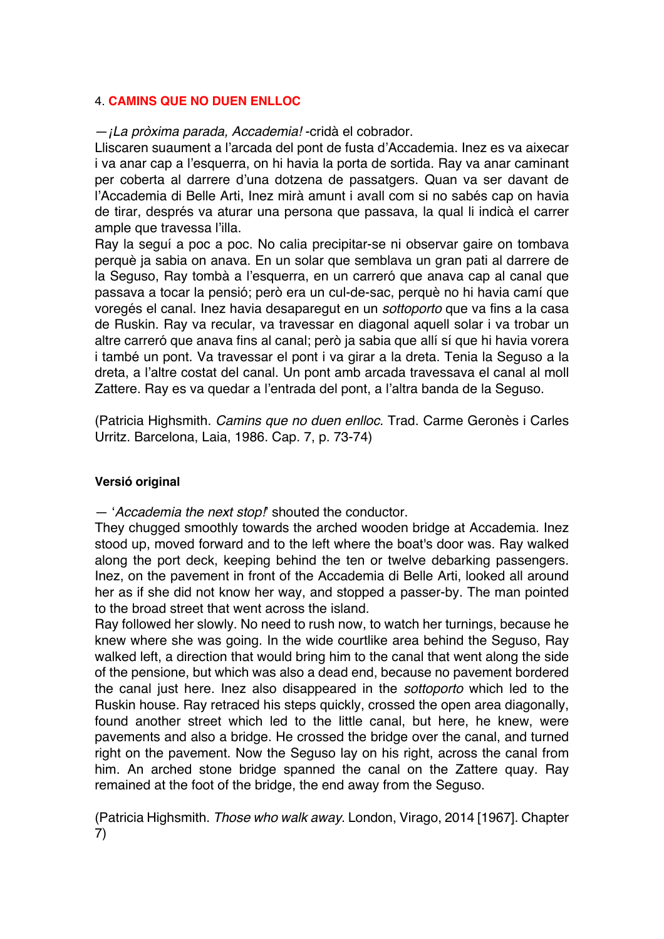## 4. **CAMINS QUE NO DUEN ENLLOC**

## —*¡La pròxima parada, Accademia!* -cridà el cobrador.

Lliscaren suaument a l'arcada del pont de fusta d'Accademia. Inez es va aixecar i va anar cap a l'esquerra, on hi havia la porta de sortida. Ray va anar caminant per coberta al darrere d'una dotzena de passatgers. Quan va ser davant de l'Accademia di Belle Arti, Inez mirà amunt i avall com si no sabés cap on havia de tirar, després va aturar una persona que passava, la qual li indicà el carrer ample que travessa l'illa.

Ray la seguí a poc a poc. No calia precipitar-se ni observar gaire on tombava perquè ja sabia on anava. En un solar que semblava un gran pati al darrere de la Seguso, Ray tombà a l'esquerra, en un carreró que anava cap al canal que passava a tocar la pensió; però era un cul-de-sac, perquè no hi havia camí que voregés el canal. Inez havia desaparegut en un *sottoporto* que va fins a la casa de Ruskin. Ray va recular, va travessar en diagonal aquell solar i va trobar un altre carreró que anava fins al canal; però ja sabia que allí sí que hi havia vorera i també un pont. Va travessar el pont i va girar a la dreta. Tenia la Seguso a la dreta, a l'altre costat del canal. Un pont amb arcada travessava el canal al moll Zattere. Ray es va quedar a l'entrada del pont, a l'altra banda de la Seguso.

(Patricia Highsmith. *Camins que no duen enlloc*. Trad. Carme Geronès i Carles Urritz. Barcelona, Laia, 1986. Cap. 7, p. 73-74)

### **Versió original**

— '*Accademia the next stop!*' shouted the conductor.

They chugged smoothly towards the arched wooden bridge at Accademia. Inez stood up, moved forward and to the left where the boat's door was. Ray walked along the port deck, keeping behind the ten or twelve debarking passengers. Inez, on the pavement in front of the Accademia di Belle Arti, looked all around her as if she did not know her way, and stopped a passer-by. The man pointed to the broad street that went across the island.

Ray followed her slowly. No need to rush now, to watch her turnings, because he knew where she was going. In the wide courtlike area behind the Seguso, Ray walked left, a direction that would bring him to the canal that went along the side of the pensione, but which was also a dead end, because no pavement bordered the canal just here. Inez also disappeared in the *sottoporto* which led to the Ruskin house. Ray retraced his steps quickly, crossed the open area diagonally, found another street which led to the little canal, but here, he knew, were pavements and also a bridge. He crossed the bridge over the canal, and turned right on the pavement. Now the Seguso lay on his right, across the canal from him. An arched stone bridge spanned the canal on the Zattere quay. Ray remained at the foot of the bridge, the end away from the Seguso.

(Patricia Highsmith. *Those who walk away*. London, Virago, 2014 [1967]. Chapter 7)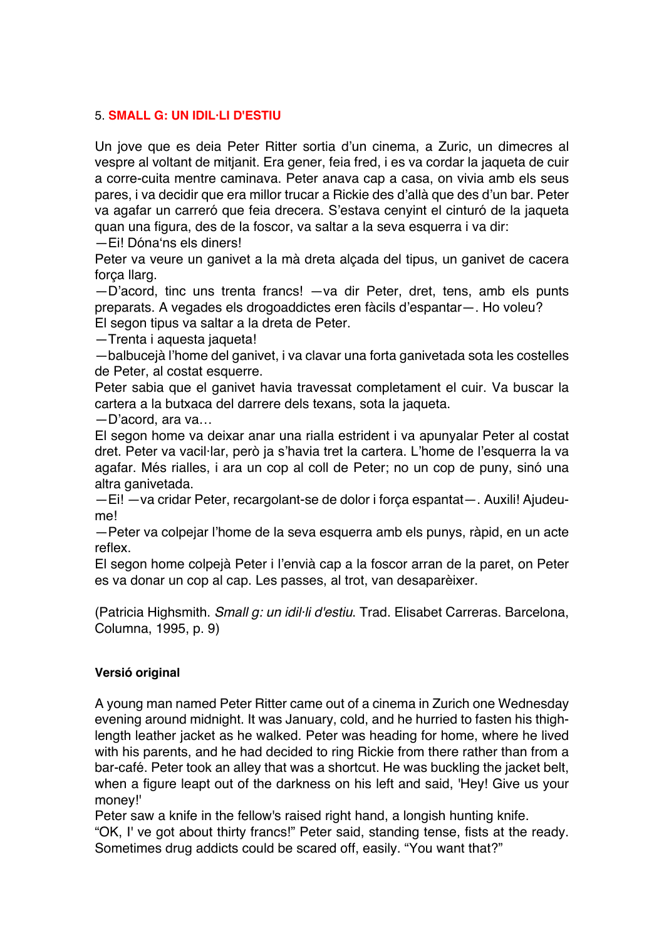## 5. **SMALL G: UN IDIL·LI D'ESTIU**

Un jove que es deia Peter Ritter sortia d'un cinema, a Zuric, un dimecres al vespre al voltant de mitjanit. Era gener, feia fred, i es va cordar la jaqueta de cuir a corre-cuita mentre caminava. Peter anava cap a casa, on vivia amb els seus pares, i va decidir que era millor trucar a Rickie des d'allà que des d'un bar. Peter va agafar un carreró que feia drecera. S'estava cenyint el cinturó de la jaqueta quan una figura, des de la foscor, va saltar a la seva esquerra i va dir:

—Ei! Dóna'ns els diners!

Peter va veure un ganivet a la mà dreta alçada del tipus, un ganivet de cacera força llarg.

—D'acord, tinc uns trenta francs! —va dir Peter, dret, tens, amb els punts preparats. A vegades els drogoaddictes eren fàcils d'espantar—. Ho voleu? El segon tipus va saltar a la dreta de Peter.

—Trenta i aquesta jaqueta!

—balbucejà l'home del ganivet, i va clavar una forta ganivetada sota les costelles de Peter, al costat esquerre.

Peter sabia que el ganivet havia travessat completament el cuir. Va buscar la cartera a la butxaca del darrere dels texans, sota la jaqueta.

—D'acord, ara va…

El segon home va deixar anar una rialla estrident i va apunyalar Peter al costat dret. Peter va vacil·lar, però ja s'havia tret la cartera. L'home de l'esquerra la va agafar. Més rialles, i ara un cop al coll de Peter; no un cop de puny, sinó una altra ganivetada.

—Ei! —va cridar Peter, recargolant-se de dolor i força espantat—. Auxili! Ajudeume!

—Peter va colpejar l'home de la seva esquerra amb els punys, ràpid, en un acte reflex.

El segon home colpejà Peter i l'envià cap a la foscor arran de la paret, on Peter es va donar un cop al cap. Les passes, al trot, van desaparèixer.

(Patricia Highsmith. *Small g: un idil·li d'estiu*. Trad. Elisabet Carreras. Barcelona, Columna, 1995, p. 9)

### **Versió original**

A young man named Peter Ritter came out of a cinema in Zurich one Wednesday evening around midnight. It was January, cold, and he hurried to fasten his thighlength leather jacket as he walked. Peter was heading for home, where he lived with his parents, and he had decided to ring Rickie from there rather than from a bar-café. Peter took an alley that was a shortcut. He was buckling the jacket belt, when a figure leapt out of the darkness on his left and said, 'Hey! Give us your money!'

Peter saw a knife in the fellow's raised right hand, a longish hunting knife.

"OK, I' ve got about thirty francs!" Peter said, standing tense, fists at the ready. Sometimes drug addicts could be scared off, easily. "You want that?"